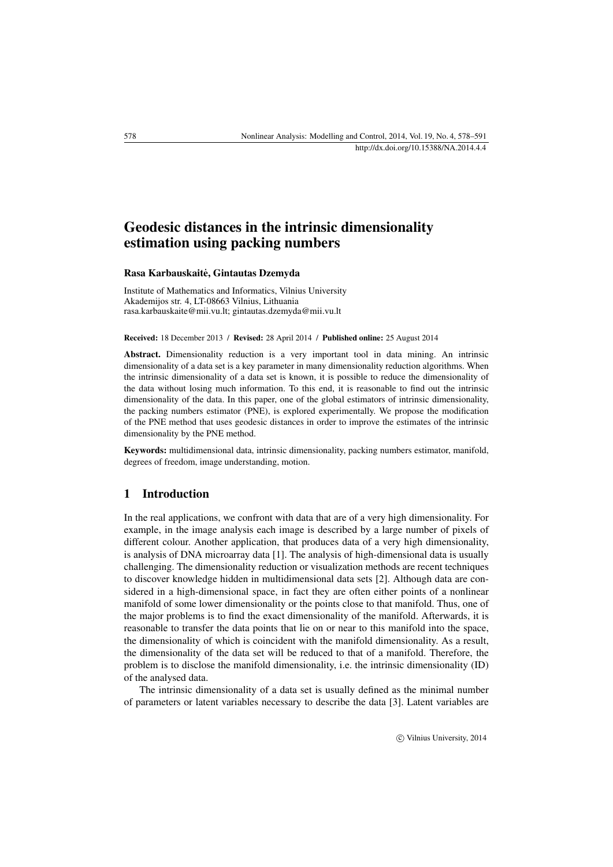# Geodesic distances in the intrinsic dimensionality estimation using packing numbers

#### Rasa Karbauskaite, Gintautas Dzemyda ˙

Institute of Mathematics and Informatics, Vilnius University Akademijos str. 4, LT-08663 Vilnius, Lithuania [rasa.karbauskaite@mii.vu.lt;](mailto:rasa.karbauskaite@mii.vu.lt) [gintautas.dzemyda@mii.vu.lt](mailto:gintautas.dzemyda@mii.vu.lt)

#### Received: 18 December 2013 / Revised: 28 April 2014 / Published online: 25 August 2014

Abstract. Dimensionality reduction is a very important tool in data mining. An intrinsic dimensionality of a data set is a key parameter in many dimensionality reduction algorithms. When the intrinsic dimensionality of a data set is known, it is possible to reduce the dimensionality of the data without losing much information. To this end, it is reasonable to find out the intrinsic dimensionality of the data. In this paper, one of the global estimators of intrinsic dimensionality, the packing numbers estimator (PNE), is explored experimentally. We propose the modification of the PNE method that uses geodesic distances in order to improve the estimates of the intrinsic dimensionality by the PNE method.

Keywords: multidimensional data, intrinsic dimensionality, packing numbers estimator, manifold, degrees of freedom, image understanding, motion.

### 1 Introduction

In the real applications, we confront with data that are of a very high dimensionality. For example, in the image analysis each image is described by a large number of pixels of different colour. Another application, that produces data of a very high dimensionality, is analysis of DNA microarray data [\[1\]](#page-11-0). The analysis of high-dimensional data is usually challenging. The dimensionality reduction or visualization methods are recent techniques to discover knowledge hidden in multidimensional data sets [\[2\]](#page-11-1). Although data are considered in a high-dimensional space, in fact they are often either points of a nonlinear manifold of some lower dimensionality or the points close to that manifold. Thus, one of the major problems is to find the exact dimensionality of the manifold. Afterwards, it is reasonable to transfer the data points that lie on or near to this manifold into the space, the dimensionality of which is coincident with the manifold dimensionality. As a result, the dimensionality of the data set will be reduced to that of a manifold. Therefore, the problem is to disclose the manifold dimensionality, i.e. the intrinsic dimensionality (ID) of the analysed data.

The intrinsic dimensionality of a data set is usually defined as the minimal number of parameters or latent variables necessary to describe the data [\[3\]](#page-11-2). Latent variables are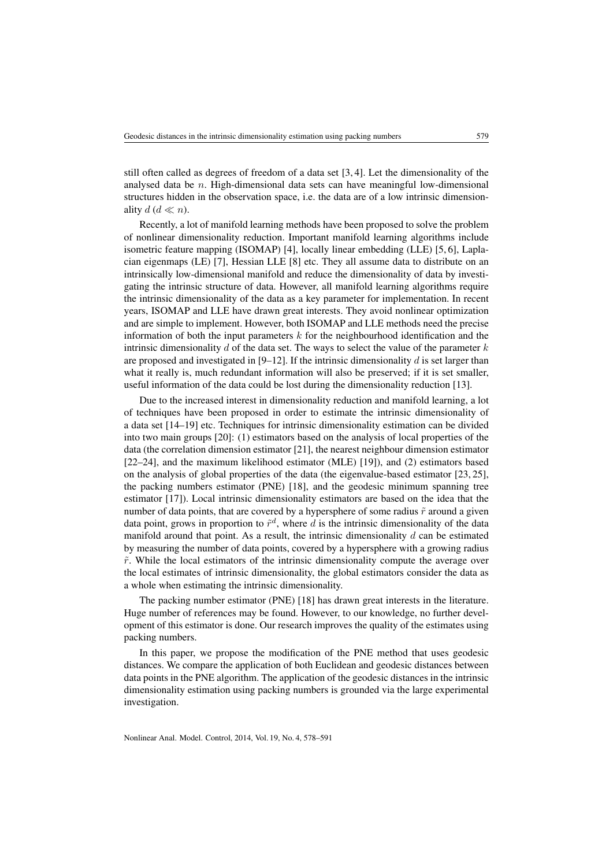still often called as degrees of freedom of a data set [\[3,](#page-11-2) [4\]](#page-12-0). Let the dimensionality of the analysed data be  $n$ . High-dimensional data sets can have meaningful low-dimensional structures hidden in the observation space, i.e. the data are of a low intrinsic dimensionality  $d$  ( $d \ll n$ ).

Recently, a lot of manifold learning methods have been proposed to solve the problem of nonlinear dimensionality reduction. Important manifold learning algorithms include isometric feature mapping (ISOMAP) [\[4\]](#page-12-0), locally linear embedding (LLE) [\[5,](#page-12-1) [6\]](#page-12-2), Laplacian eigenmaps (LE) [\[7\]](#page-12-3), Hessian LLE [\[8\]](#page-12-4) etc. They all assume data to distribute on an intrinsically low-dimensional manifold and reduce the dimensionality of data by investigating the intrinsic structure of data. However, all manifold learning algorithms require the intrinsic dimensionality of the data as a key parameter for implementation. In recent years, ISOMAP and LLE have drawn great interests. They avoid nonlinear optimization and are simple to implement. However, both ISOMAP and LLE methods need the precise information of both the input parameters  $k$  for the neighbourhood identification and the intrinsic dimensionality  $d$  of the data set. The ways to select the value of the parameter  $k$ are proposed and investigated in  $[9-12]$  $[9-12]$ . If the intrinsic dimensionality d is set larger than what it really is, much redundant information will also be preserved; if it is set smaller, useful information of the data could be lost during the dimensionality reduction [\[13\]](#page-12-7).

Due to the increased interest in dimensionality reduction and manifold learning, a lot of techniques have been proposed in order to estimate the intrinsic dimensionality of a data set [\[14](#page-12-8)[–19\]](#page-12-9) etc. Techniques for intrinsic dimensionality estimation can be divided into two main groups [\[20\]](#page-12-10): (1) estimators based on the analysis of local properties of the data (the correlation dimension estimator [\[21\]](#page-13-0), the nearest neighbour dimension estimator [\[22–](#page-13-1)[24\]](#page-13-2), and the maximum likelihood estimator (MLE) [\[19\]](#page-12-9)), and (2) estimators based on the analysis of global properties of the data (the eigenvalue-based estimator [\[23,](#page-13-3) [25\]](#page-13-4), the packing numbers estimator (PNE) [\[18\]](#page-12-11), and the geodesic minimum spanning tree estimator [\[17\]](#page-12-12)). Local intrinsic dimensionality estimators are based on the idea that the number of data points, that are covered by a hypersphere of some radius  $\tilde{r}$  around a given data point, grows in proportion to  $\tilde{r}^d$ , where d is the intrinsic dimensionality of the data manifold around that point. As a result, the intrinsic dimensionality  $d$  can be estimated by measuring the number of data points, covered by a hypersphere with a growing radius  $\tilde{r}$ . While the local estimators of the intrinsic dimensionality compute the average over the local estimates of intrinsic dimensionality, the global estimators consider the data as a whole when estimating the intrinsic dimensionality.

The packing number estimator (PNE) [\[18\]](#page-12-11) has drawn great interests in the literature. Huge number of references may be found. However, to our knowledge, no further development of this estimator is done. Our research improves the quality of the estimates using packing numbers.

In this paper, we propose the modification of the PNE method that uses geodesic distances. We compare the application of both Euclidean and geodesic distances between data points in the PNE algorithm. The application of the geodesic distances in the intrinsic dimensionality estimation using packing numbers is grounded via the large experimental investigation.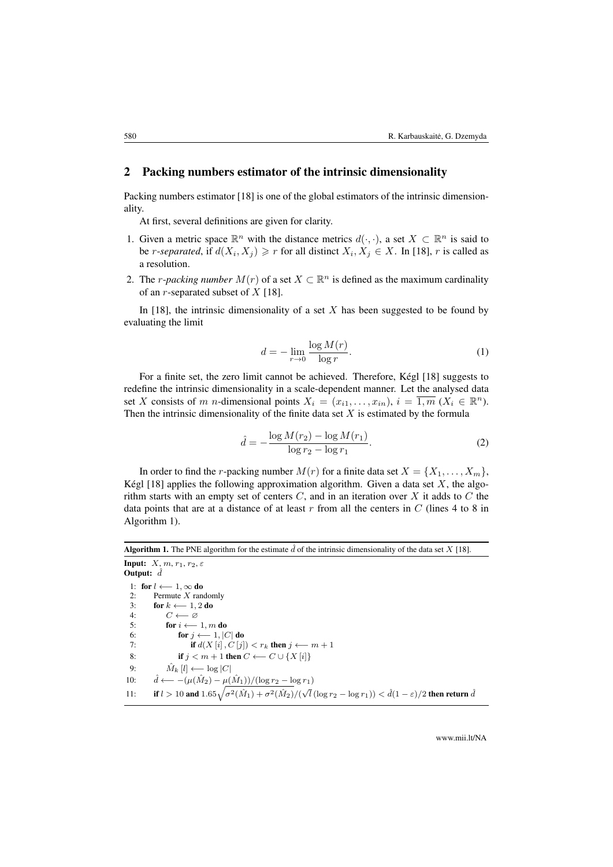### 2 Packing numbers estimator of the intrinsic dimensionality

Packing numbers estimator [\[18\]](#page-12-11) is one of the global estimators of the intrinsic dimensionality.

At first, several definitions are given for clarity.

- 1. Given a metric space  $\mathbb{R}^n$  with the distance metrics  $d(\cdot, \cdot)$ , a set  $X \subset \mathbb{R}^n$  is said to be *r*-*separated*, if  $d(X_i, X_j) \ge r$  for all distinct  $X_i, X_j \in X$ . In [\[18\]](#page-12-11), r is called as a resolution.
- 2. The *r*-*packing number*  $M(r)$  of a set  $X \subset \mathbb{R}^n$  is defined as the maximum cardinality of an r-separated subset of  $X$  [\[18\]](#page-12-11).

In [\[18\]](#page-12-11), the intrinsic dimensionality of a set  $X$  has been suggested to be found by evaluating the limit

$$
d = -\lim_{r \to 0} \frac{\log M(r)}{\log r}.
$$
 (1)

For a finite set, the zero limit cannot be achieved. Therefore, Kégl [\[18\]](#page-12-11) suggests to redefine the intrinsic dimensionality in a scale-dependent manner. Let the analysed data set X consists of m n-dimensional points  $X_i = (x_{i1}, \ldots, x_{in}), i = \overline{1,m} \ (X_i \in \mathbb{R}^n)$ . Then the intrinsic dimensionality of the finite data set  $X$  is estimated by the formula

<span id="page-2-1"></span>
$$
\hat{d} = -\frac{\log M(r_2) - \log M(r_1)}{\log r_2 - \log r_1}.
$$
\n(2)

In order to find the *r*-packing number  $M(r)$  for a finite data set  $X = \{X_1, \ldots, X_m\}$ , Kégl [\[18\]](#page-12-11) applies the following approximation algorithm. Given a data set  $X$ , the algorithm starts with an empty set of centers  $C$ , and in an iteration over  $X$  it adds to  $C$  the data points that are at a distance of at least  $r$  from all the centers in  $C$  (lines 4 to 8 in Algorithm [1\)](#page-2-0).

# <span id="page-2-0"></span>Algorithm 1. The PNE algorithm for the estimate  $\hat{d}$  of the intrinsic dimensionality of the data set X [\[18\]](#page-12-11).

Input:  $X, m, r_1, r_2, \varepsilon$ Output:  $\hat{d}$ 1: for  $l \leftarrow 1, \infty$  do 2: Permute X randomly<br>3: **for**  $k \leftarrow 1, 2$  do 3: for  $k \leftarrow 1, 2$  do<br>4:  $C \leftarrow \emptyset$ 5: for  $i \leftarrow 1, m$  do<br>6: for  $j \leftarrow 1, |\zeta|$ for  $j \longleftarrow 1, |C|$  do 7: **if**  $d(X[i], C[j]) < r_k$  then  $j \leftarrow m + 1$ 8: **if**  $j < m+1$  then  $C \leftarrow C \cup \{X[i]\}$ 9:  $\hat{M}_k[l] \longleftarrow \log|C|$ 10:  $\hat{d} \longleftarrow -(\mu(\hat{M}_2) - \mu(\hat{M}_1))/(\log r_2 - \log r_1)$ 11: if  $l > 10$  and  $1.65\sqrt{\sigma^2(\hat{M}_1) + \sigma^2(\hat{M}_2)} / (\sqrt{l}(\log r_2 - \log r_1)) < \hat{d}(1-\varepsilon)/2$  then return  $\hat{d}$ 

www.mii.lt/NA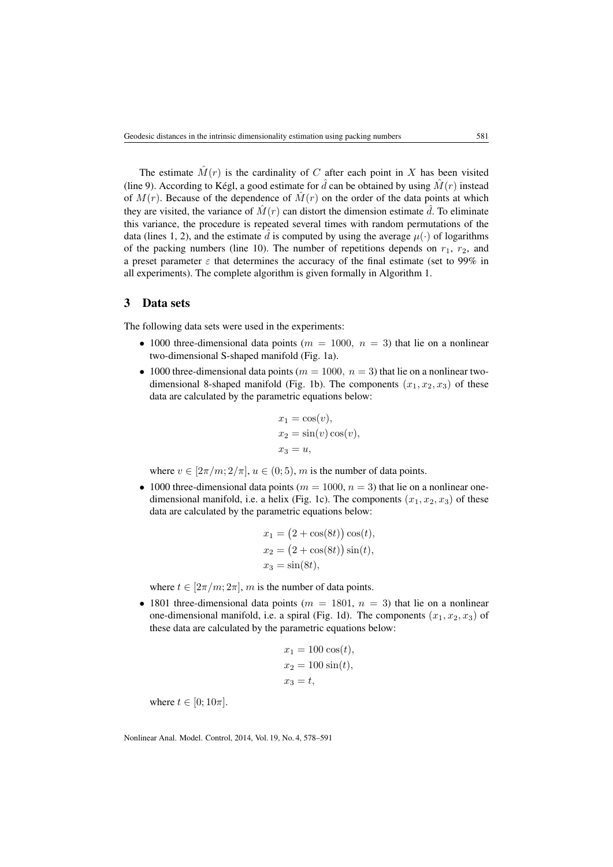The estimate  $\hat{M}(r)$  is the cardinality of C after each point in X has been visited (line 9). According to Kégl, a good estimate for  $\hat{d}$  can be obtained by using  $\hat{M}(r)$  instead of  $M(r)$ . Because of the dependence of  $\hat{M}(r)$  on the order of the data points at which they are visited, the variance of  $\hat{M}(r)$  can distort the dimension estimate  $\hat{d}$ . To eliminate this variance, the procedure is repeated several times with random permutations of the data (lines 1, 2), and the estimate  $\hat{d}$  is computed by using the average  $\mu(\cdot)$  of logarithms of the packing numbers (line 10). The number of repetitions depends on  $r_1$ ,  $r_2$ , and a preset parameter  $\varepsilon$  that determines the accuracy of the final estimate (set to 99% in all experiments). The complete algorithm is given formally in Algorithm [1.](#page-2-0)

### 3 Data sets

The following data sets were used in the experiments:

- 1000 three-dimensional data points ( $m = 1000$ ,  $n = 3$ ) that lie on a nonlinear two-dimensional S-shaped manifold (Fig. [1a\)](#page-4-0).
- 1000 three-dimensional data points ( $m = 1000$ ,  $n = 3$ ) that lie on a nonlinear two-dimensional 8-shaped manifold (Fig. [1b\)](#page-4-0). The components  $(x_1, x_2, x_3)$  of these data are calculated by the parametric equations below:

$$
x_1 = \cos(v),
$$
  
\n
$$
x_2 = \sin(v)\cos(v),
$$
  
\n
$$
x_3 = u,
$$

where  $v \in [2\pi/m; 2/\pi]$ ,  $u \in (0, 5)$ , m is the number of data points.

• 1000 three-dimensional data points ( $m = 1000$ ,  $n = 3$ ) that lie on a nonlinear one-dimensional manifold, i.e. a helix (Fig. [1c\)](#page-4-0). The components  $(x_1, x_2, x_3)$  of these data are calculated by the parametric equations below:

$$
x_1 = (2 + \cos(8t)) \cos(t),
$$
  
\n
$$
x_2 = (2 + \cos(8t)) \sin(t),
$$
  
\n
$$
x_3 = \sin(8t),
$$

where  $t \in [2\pi/m; 2\pi]$ , m is the number of data points.

• 1801 three-dimensional data points ( $m = 1801$ ,  $n = 3$ ) that lie on a nonlinear one-dimensional manifold, i.e. a spiral (Fig. [1d\)](#page-4-0). The components  $(x_1, x_2, x_3)$  of these data are calculated by the parametric equations below:

$$
x_1 = 100 \cos(t),
$$
  
\n
$$
x_2 = 100 \sin(t),
$$
  
\n
$$
x_3 = t,
$$

where  $t \in [0; 10\pi]$ .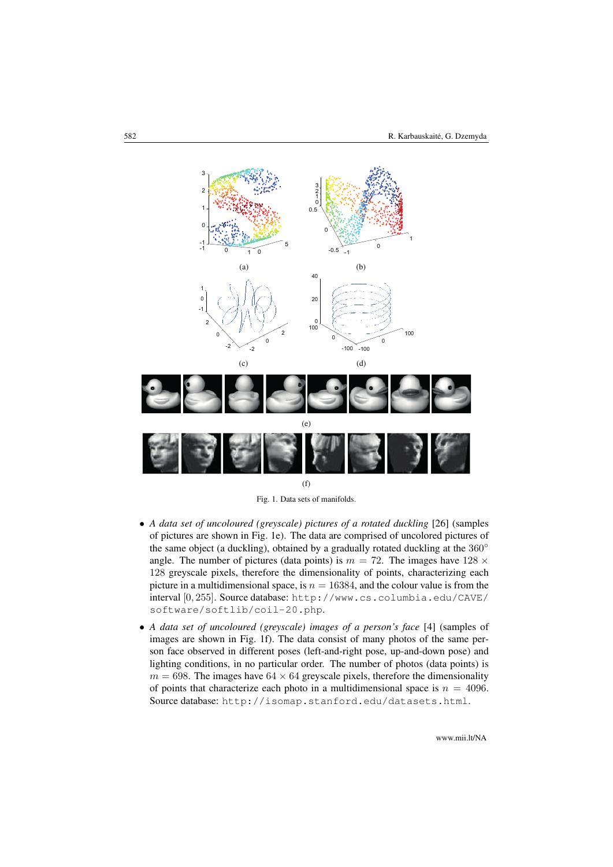<span id="page-4-0"></span>

Fig. 1. Data sets of manifolds.

- *A data set of uncoloured (greyscale) pictures of a rotated duckling* [\[26\]](#page-13-5) (samples of pictures are shown in Fig. [1e\)](#page-4-0). The data are comprised of uncolored pictures of the same object (a duckling), obtained by a gradually rotated duckling at the 360<sup>°</sup> angle. The number of pictures (data points) is  $m = 72$ . The images have  $128 \times$ 128 greyscale pixels, therefore the dimensionality of points, characterizing each picture in a multidimensional space, is  $n = 16384$ , and the colour value is from the interval [0, 255]. Source database: [http://www.cs.columbia.edu/CAVE/](http://www.cs.columbia.edu/CAVE/software/softlib/coil-20.php) [software/softlib/coil-20.php](http://www.cs.columbia.edu/CAVE/software/softlib/coil-20.php).
- *A data set of uncoloured (greyscale) images of a person's face* [\[4\]](#page-12-0) (samples of images are shown in Fig. [1f\)](#page-4-0). The data consist of many photos of the same person face observed in different poses (left-and-right pose, up-and-down pose) and lighting conditions, in no particular order. The number of photos (data points) is  $m = 698$ . The images have  $64 \times 64$  greyscale pixels, therefore the dimensionality of points that characterize each photo in a multidimensional space is  $n = 4096$ . Source database: <http://isomap.stanford.edu/datasets.html>.

www.mii.lt/NA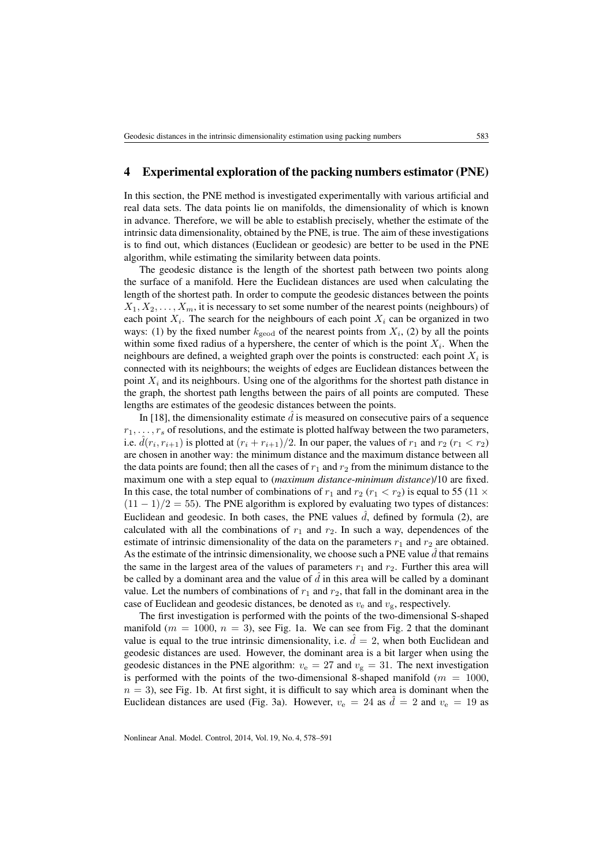## 4 Experimental exploration of the packing numbers estimator (PNE)

In this section, the PNE method is investigated experimentally with various artificial and real data sets. The data points lie on manifolds, the dimensionality of which is known in advance. Therefore, we will be able to establish precisely, whether the estimate of the intrinsic data dimensionality, obtained by the PNE, is true. The aim of these investigations is to find out, which distances (Euclidean or geodesic) are better to be used in the PNE algorithm, while estimating the similarity between data points.

The geodesic distance is the length of the shortest path between two points along the surface of a manifold. Here the Euclidean distances are used when calculating the length of the shortest path. In order to compute the geodesic distances between the points  $X_1, X_2, \ldots, X_m$ , it is necessary to set some number of the nearest points (neighbours) of each point  $X_i$ . The search for the neighbours of each point  $X_i$  can be organized in two ways: (1) by the fixed number  $k_{\text{geod}}$  of the nearest points from  $X_i$ , [\(2\)](#page-2-1) by all the points within some fixed radius of a hypershere, the center of which is the point  $X_i$ . When the neighbours are defined, a weighted graph over the points is constructed: each point  $X_i$  is connected with its neighbours; the weights of edges are Euclidean distances between the point  $X_i$  and its neighbours. Using one of the algorithms for the shortest path distance in the graph, the shortest path lengths between the pairs of all points are computed. These lengths are estimates of the geodesic distances between the points.

In [\[18\]](#page-12-11), the dimensionality estimate  $\hat{d}$  is measured on consecutive pairs of a sequence  $r_1, \ldots, r_s$  of resolutions, and the estimate is plotted halfway between the two parameters, i.e.  $\hat{d}(r_i, r_{i+1})$  is plotted at  $(r_i + r_{i+1})/2$ . In our paper, the values of  $r_1$  and  $r_2$   $(r_1 < r_2)$ are chosen in another way: the minimum distance and the maximum distance between all the data points are found; then all the cases of  $r_1$  and  $r_2$  from the minimum distance to the maximum one with a step equal to (*maximum distance*-*minimum distance*)/10 are fixed. In this case, the total number of combinations of  $r_1$  and  $r_2$  ( $r_1 < r_2$ ) is equal to 55 (11  $\times$  $(11 - 1)/2 = 55$ ). The PNE algorithm is explored by evaluating two types of distances: Euclidean and geodesic. In both cases, the PNE values  $\hat{d}$ , defined by formula [\(2\)](#page-2-1), are calculated with all the combinations of  $r_1$  and  $r_2$ . In such a way, dependences of the estimate of intrinsic dimensionality of the data on the parameters  $r_1$  and  $r_2$  are obtained. As the estimate of the intrinsic dimensionality, we choose such a PNE value  $\tilde{d}$  that remains the same in the largest area of the values of parameters  $r_1$  and  $r_2$ . Further this area will be called by a dominant area and the value of  $\hat{d}$  in this area will be called by a dominant value. Let the numbers of combinations of  $r_1$  and  $r_2$ , that fall in the dominant area in the case of Euclidean and geodesic distances, be denoted as  $v_e$  and  $v_g$ , respectively.

The first investigation is performed with the points of the two-dimensional S-shaped manifold ( $m = 1000$ ,  $n = 3$ ), see Fig. [1a.](#page-4-0) We can see from Fig. [2](#page-6-0) that the dominant value is equal to the true intrinsic dimensionality, i.e.  $\hat{d} = 2$ , when both Euclidean and geodesic distances are used. However, the dominant area is a bit larger when using the geodesic distances in the PNE algorithm:  $v_e = 27$  and  $v_g = 31$ . The next investigation is performed with the points of the two-dimensional 8-shaped manifold ( $m = 1000$ ,  $n = 3$ ), see Fig. [1b.](#page-4-0) At first sight, it is difficult to say which area is dominant when the Euclidean distances are used (Fig. [3a\)](#page-6-1). However,  $v_e = 24$  as  $\hat{d} = 2$  and  $v_e = 19$  as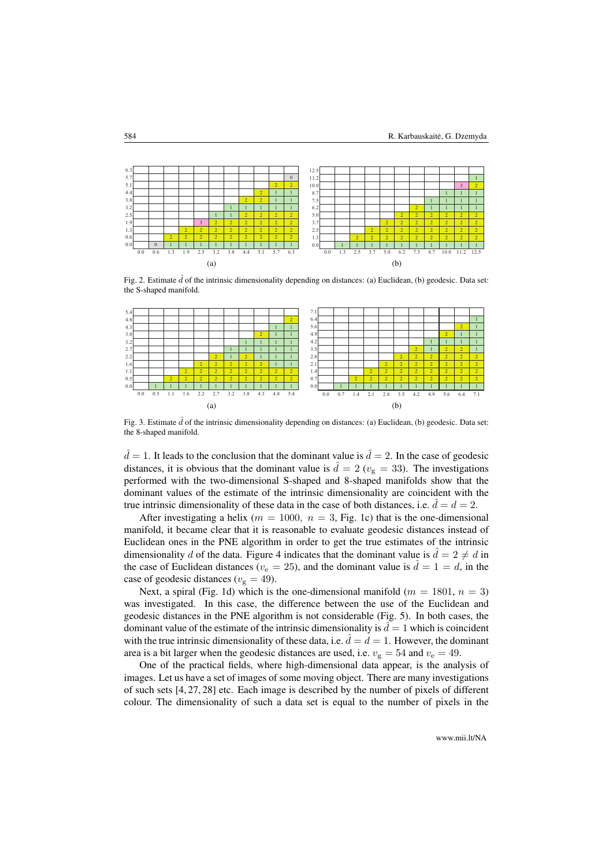<span id="page-6-0"></span>

Fig. 2. Estimate  $\hat{d}$  of the intrinsic dimensionality depending on distances: (a) Euclidean, (b) geodesic. Data set: the S-shaped manifold.

<span id="page-6-1"></span>

Fig. 3. Estimate  $\hat{d}$  of the intrinsic dimensionality depending on distances: (a) Euclidean, (b) geodesic. Data set: the 8-shaped manifold.

 $\hat{d} = 1$ . It leads to the conclusion that the dominant value is  $\hat{d} = 2$ . In the case of geodesic distances, it is obvious that the dominant value is  $\hat{d} = 2 (v_{\rm g} = 33)$ . The investigations performed with the two-dimensional S-shaped and 8-shaped manifolds show that the dominant values of the estimate of the intrinsic dimensionality are coincident with the true intrinsic dimensionality of these data in the case of both distances, i.e.  $d = d = 2$ .

After investigating a helix ( $m = 1000$ ,  $n = 3$ , Fig. [1c\)](#page-4-0) that is the one-dimensional manifold, it became clear that it is reasonable to evaluate geodesic distances instead of Euclidean ones in the PNE algorithm in order to get the true estimates of the intrinsic dimensionality d of the data. Figure [4](#page-7-0) indicates that the dominant value is  $d = 2 \neq d$  in the case of Euclidean distances ( $v_e = 25$ ), and the dominant value is  $\hat{d} = 1 = d$ , in the case of geodesic distances ( $v_{\rm g} = 49$ ).

Next, a spiral (Fig. [1d\)](#page-4-0) which is the one-dimensional manifold ( $m = 1801$ ,  $n = 3$ ) was investigated. In this case, the difference between the use of the Euclidean and geodesic distances in the PNE algorithm is not considerable (Fig. [5\)](#page-7-1). In both cases, the dominant value of the estimate of the intrinsic dimensionality is  $\hat{d} = 1$  which is coincident with the true intrinsic dimensionality of these data, i.e.  $\hat{d} = d = 1$ . However, the dominant area is a bit larger when the geodesic distances are used, i.e.  $v_{\rm g} = 54$  and  $v_{\rm e} = 49$ .

One of the practical fields, where high-dimensional data appear, is the analysis of images. Let us have a set of images of some moving object. There are many investigations of such sets [\[4,](#page-12-0) [27,](#page-13-6) [28\]](#page-13-7) etc. Each image is described by the number of pixels of different colour. The dimensionality of such a data set is equal to the number of pixels in the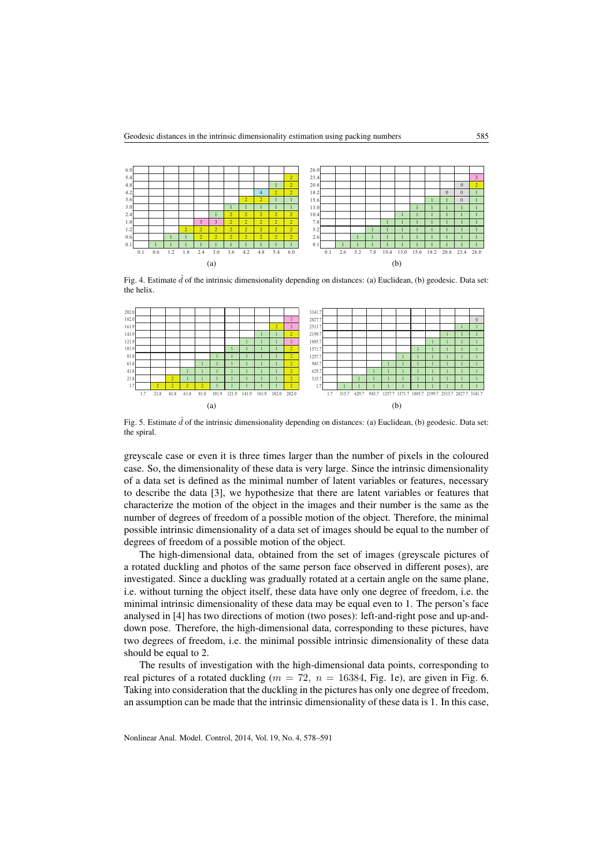<span id="page-7-0"></span>

Fig. 4. Estimate  $\hat{d}$  of the intrinsic dimensionality depending on distances: (a) Euclidean, (b) geodesic. Data set: the helix.

<span id="page-7-1"></span>

Fig. 5. Estimate  $\hat{d}$  of the intrinsic dimensionality depending on distances: (a) Euclidean, (b) geodesic. Data set: the spiral.

greyscale case or even it is three times larger than the number of pixels in the coloured case. So, the dimensionality of these data is very large. Since the intrinsic dimensionality of a data set is defined as the minimal number of latent variables or features, necessary to describe the data [\[3\]](#page-11-2), we hypothesize that there are latent variables or features that characterize the motion of the object in the images and their number is the same as the number of degrees of freedom of a possible motion of the object. Therefore, the minimal possible intrinsic dimensionality of a data set of images should be equal to the number of degrees of freedom of a possible motion of the object.

The high-dimensional data, obtained from the set of images (greyscale pictures of a rotated duckling and photos of the same person face observed in different poses), are investigated. Since a duckling was gradually rotated at a certain angle on the same plane, i.e. without turning the object itself, these data have only one degree of freedom, i.e. the minimal intrinsic dimensionality of these data may be equal even to 1. The person's face analysed in [\[4\]](#page-12-0) has two directions of motion (two poses): left-and-right pose and up-anddown pose. Therefore, the high-dimensional data, corresponding to these pictures, have two degrees of freedom, i.e. the minimal possible intrinsic dimensionality of these data should be equal to 2.

The results of investigation with the high-dimensional data points, corresponding to real pictures of a rotated duckling ( $m = 72$ ,  $n = 16384$ , Fig. [1e\)](#page-4-0), are given in Fig. [6.](#page-8-0) Taking into consideration that the duckling in the pictures has only one degree of freedom, an assumption can be made that the intrinsic dimensionality of these data is 1. In this case,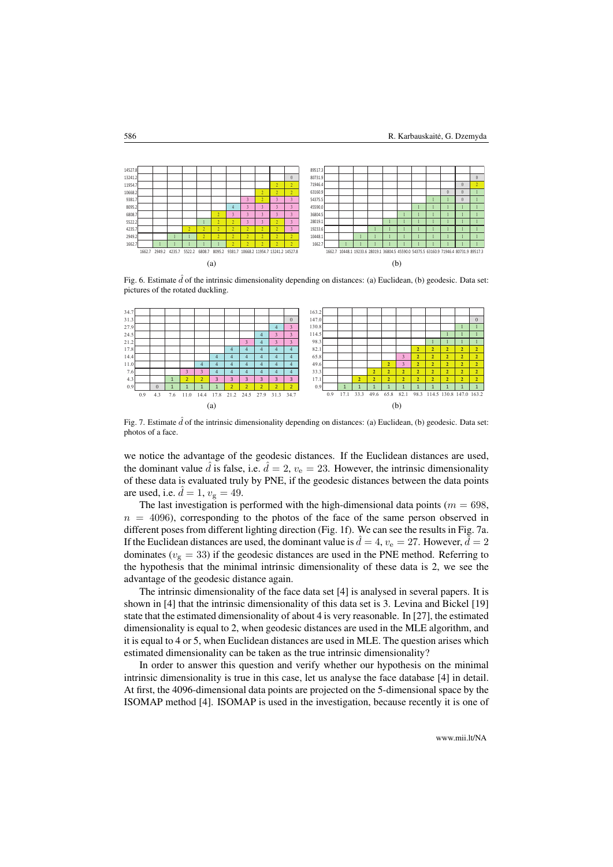<span id="page-8-0"></span>

Fig. 6. Estimate  $\hat{d}$  of the intrinsic dimensionality depending on distances: (a) Euclidean, (b) geodesic. Data set: pictures of the rotated duckling.

<span id="page-8-1"></span>

Fig. 7. Estimate  $\hat{d}$  of the intrinsic dimensionality depending on distances: (a) Euclidean, (b) geodesic. Data set: photos of a face.

we notice the advantage of the geodesic distances. If the Euclidean distances are used, the dominant value  $\hat{d}$  is false, i.e.  $\hat{d} = 2$ ,  $v_e = 23$ . However, the intrinsic dimensionality of these data is evaluated truly by PNE, if the geodesic distances between the data points are used, i.e.  $\hat{d} = 1$ ,  $v_{\rm g} = 49$ .

The last investigation is performed with the high-dimensional data points ( $m = 698$ ,  $n = 4096$ , corresponding to the photos of the face of the same person observed in different poses from different lighting direction (Fig. [1f\)](#page-4-0). We can see the results in Fig. [7a.](#page-8-1) If the Euclidean distances are used, the dominant value is  $d = 4$ ,  $v_e = 27$ . However,  $d = 2$ dominates ( $v_{\rm g}$  = 33) if the geodesic distances are used in the PNE method. Referring to the hypothesis that the minimal intrinsic dimensionality of these data is 2, we see the advantage of the geodesic distance again.

The intrinsic dimensionality of the face data set [\[4\]](#page-12-0) is analysed in several papers. It is shown in [\[4\]](#page-12-0) that the intrinsic dimensionality of this data set is 3. Levina and Bickel [\[19\]](#page-12-9) state that the estimated dimensionality of about 4 is very reasonable. In [\[27\]](#page-13-6), the estimated dimensionality is equal to 2, when geodesic distances are used in the MLE algorithm, and it is equal to 4 or 5, when Euclidean distances are used in MLE. The question arises which estimated dimensionality can be taken as the true intrinsic dimensionality?

In order to answer this question and verify whether our hypothesis on the minimal intrinsic dimensionality is true in this case, let us analyse the face database [\[4\]](#page-12-0) in detail. At first, the 4096-dimensional data points are projected on the 5-dimensional space by the ISOMAP method [\[4\]](#page-12-0). ISOMAP is used in the investigation, because recently it is one of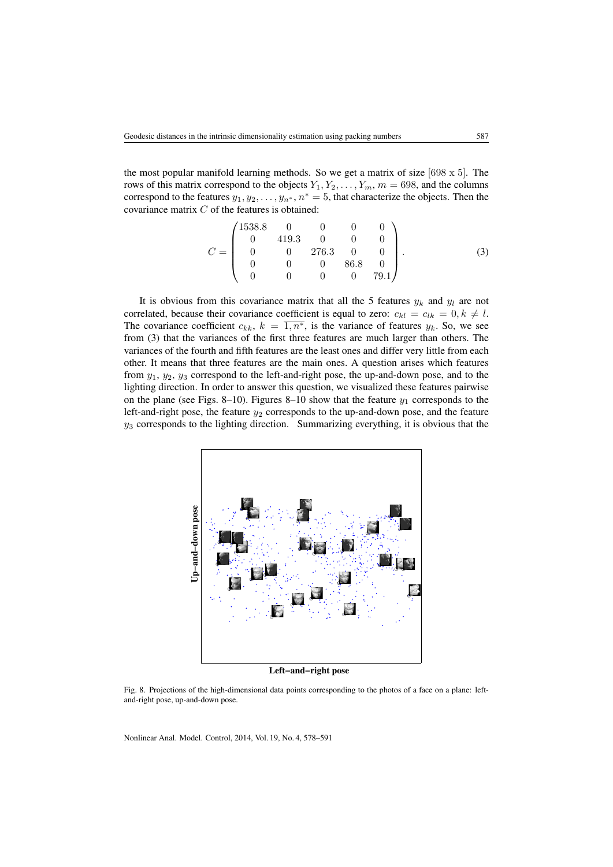the most popular manifold learning methods. So we get a matrix of size  $[698 \times 5]$ . The rows of this matrix correspond to the objects  $Y_1, Y_2, \ldots, Y_m, m = 698$ , and the columns correspond to the features  $y_1, y_2, \ldots, y_{n^*}, n^* = 5$ , that characterize the objects. Then the covariance matrix C of the features is obtained:

<span id="page-9-0"></span>
$$
C = \begin{pmatrix} 1538.8 & 0 & 0 & 0 & 0 \\ 0 & 419.3 & 0 & 0 & 0 \\ 0 & 0 & 276.3 & 0 & 0 \\ 0 & 0 & 0 & 86.8 & 0 \\ 0 & 0 & 0 & 0 & 79.1 \end{pmatrix}.
$$
 (3)

It is obvious from this covariance matrix that all the 5 features  $y_k$  and  $y_l$  are not correlated, because their covariance coefficient is equal to zero:  $c_{kl} = c_{lk} = 0, k \neq l$ . The covariance coefficient  $c_{kk}$ ,  $k = \overline{1, n^*}$ , is the variance of features  $y_k$ . So, we see from [\(3\)](#page-9-0) that the variances of the first three features are much larger than others. The variances of the fourth and fifth features are the least ones and differ very little from each other. It means that three features are the main ones. A question arises which features from  $y_1$ ,  $y_2$ ,  $y_3$  correspond to the left-and-right pose, the up-and-down pose, and to the lighting direction. In order to answer this question, we visualized these features pairwise on the plane (see Figs. [8](#page-9-1)[–10\)](#page-10-0). Figures 8[–10](#page-10-0) show that the feature  $y_1$  corresponds to the left-and-right pose, the feature  $y_2$  corresponds to the up-and-down pose, and the feature  $y_3$  corresponds to the lighting direction. Summarizing everything, it is obvious that the

<span id="page-9-1"></span>

**Left−and−right pose**

Fig. 8. Projections of the high-dimensional data points corresponding to the photos of a face on a plane: leftand-right pose, up-and-down pose.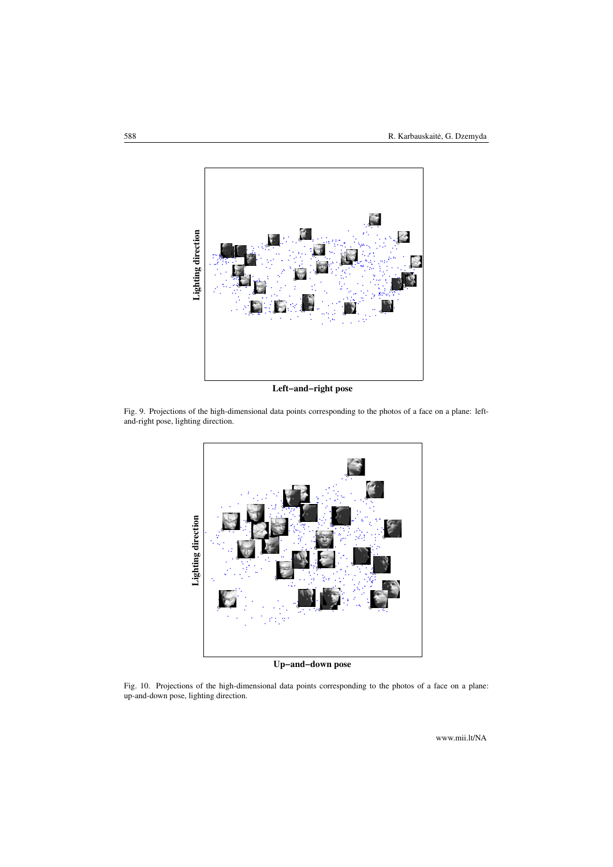

**Left−and−right pose**

<span id="page-10-0"></span>Fig. 9. Projections of the high-dimensional data points corresponding to the photos of a face on a plane: leftand-right pose, lighting direction.



**Up−and−down pose**

Fig. 10. Projections of the high-dimensional data points corresponding to the photos of a face on a plane: up-and-down pose, lighting direction.

www.mii.lt/NA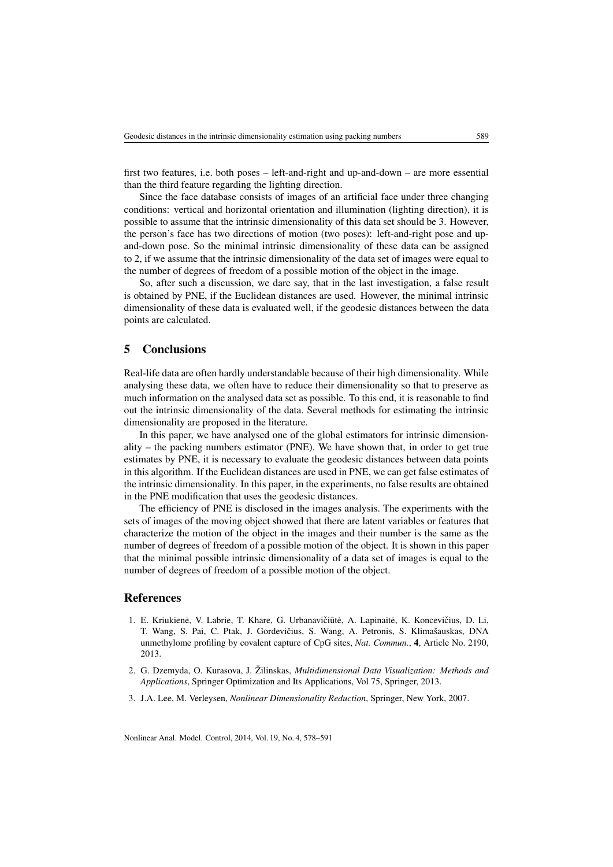first two features, i.e. both poses – left-and-right and up-and-down – are more essential than the third feature regarding the lighting direction.

Since the face database consists of images of an artificial face under three changing conditions: vertical and horizontal orientation and illumination (lighting direction), it is possible to assume that the intrinsic dimensionality of this data set should be 3. However, the person's face has two directions of motion (two poses): left-and-right pose and upand-down pose. So the minimal intrinsic dimensionality of these data can be assigned to 2, if we assume that the intrinsic dimensionality of the data set of images were equal to the number of degrees of freedom of a possible motion of the object in the image.

So, after such a discussion, we dare say, that in the last investigation, a false result is obtained by PNE, if the Euclidean distances are used. However, the minimal intrinsic dimensionality of these data is evaluated well, if the geodesic distances between the data points are calculated.

### 5 Conclusions

Real-life data are often hardly understandable because of their high dimensionality. While analysing these data, we often have to reduce their dimensionality so that to preserve as much information on the analysed data set as possible. To this end, it is reasonable to find out the intrinsic dimensionality of the data. Several methods for estimating the intrinsic dimensionality are proposed in the literature.

In this paper, we have analysed one of the global estimators for intrinsic dimensionality – the packing numbers estimator (PNE). We have shown that, in order to get true estimates by PNE, it is necessary to evaluate the geodesic distances between data points in this algorithm. If the Euclidean distances are used in PNE, we can get false estimates of the intrinsic dimensionality. In this paper, in the experiments, no false results are obtained in the PNE modification that uses the geodesic distances.

The efficiency of PNE is disclosed in the images analysis. The experiments with the sets of images of the moving object showed that there are latent variables or features that characterize the motion of the object in the images and their number is the same as the number of degrees of freedom of a possible motion of the object. It is shown in this paper that the minimal possible intrinsic dimensionality of a data set of images is equal to the number of degrees of freedom of a possible motion of the object.

### References

- <span id="page-11-0"></span>1. E. Kriukienė, V. Labrie, T. Khare, G. Urbanavičiūtė, A. Lapinaitė, K. Koncevičius, D. Li, T. Wang, S. Pai, C. Ptak, J. Gordevičius, S. Wang, A. Petronis, S. Klimašauskas, DNA unmethylome profiling by covalent capture of CpG sites, *Nat. Commun.*, 4, Article No. 2190, 2013.
- <span id="page-11-1"></span>2. G. Dzemyda, O. Kurasova, J. Žilinskas, *Multidimensional Data Visualization: Methods and Applications*, Springer Optimization and Its Applications, Vol 75, Springer, 2013.
- <span id="page-11-2"></span>3. J.A. Lee, M. Verleysen, *Nonlinear Dimensionality Reduction*, Springer, New York, 2007.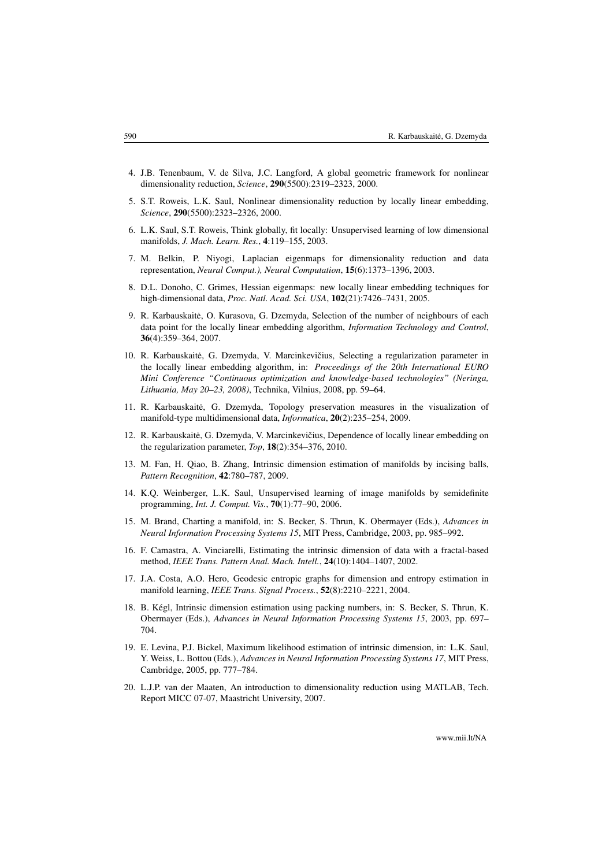- <span id="page-12-0"></span>4. J.B. Tenenbaum, V. de Silva, J.C. Langford, A global geometric framework for nonlinear dimensionality reduction, *Science*, 290(5500):2319–2323, 2000.
- <span id="page-12-1"></span>5. S.T. Roweis, L.K. Saul, Nonlinear dimensionality reduction by locally linear embedding, *Science*, 290(5500):2323–2326, 2000.
- <span id="page-12-2"></span>6. L.K. Saul, S.T. Roweis, Think globally, fit locally: Unsupervised learning of low dimensional manifolds, *J. Mach. Learn. Res.*, 4:119–155, 2003.
- <span id="page-12-3"></span>7. M. Belkin, P. Niyogi, Laplacian eigenmaps for dimensionality reduction and data representation, *Neural Comput.), Neural Computation*, 15(6):1373–1396, 2003.
- <span id="page-12-4"></span>8. D.L. Donoho, C. Grimes, Hessian eigenmaps: new locally linear embedding techniques for high-dimensional data, *Proc. Natl. Acad. Sci. USA*, 102(21):7426–7431, 2005.
- <span id="page-12-5"></span>9. R. Karbauskaite, O. Kurasova, G. Dzemyda, Selection of the number of neighbours of each ˙ data point for the locally linear embedding algorithm, *Information Technology and Control*, 36(4):359–364, 2007.
- 10. R. Karbauskaitė, G. Dzemyda, V. Marcinkevičius, Selecting a regularization parameter in the locally linear embedding algorithm, in: *Proceedings of the 20th International EURO Mini Conference "Continuous optimization and knowledge-based technologies" (Neringa, Lithuania, May 20–23, 2008)*, Technika, Vilnius, 2008, pp. 59–64.
- 11. R. Karbauskaite, G. Dzemyda, Topology preservation measures in the visualization of ˙ manifold-type multidimensional data, *Informatica*, 20(2):235–254, 2009.
- <span id="page-12-6"></span>12. R. Karbauskaitė, G. Dzemyda, V. Marcinkevičius, Dependence of locally linear embedding on the regularization parameter, *Top*, 18(2):354–376, 2010.
- <span id="page-12-7"></span>13. M. Fan, H. Qiao, B. Zhang, Intrinsic dimension estimation of manifolds by incising balls, *Pattern Recognition*, 42:780–787, 2009.
- <span id="page-12-8"></span>14. K.Q. Weinberger, L.K. Saul, Unsupervised learning of image manifolds by semidefinite programming, *Int. J. Comput. Vis.*, 70(1):77–90, 2006.
- 15. M. Brand, Charting a manifold, in: S. Becker, S. Thrun, K. Obermayer (Eds.), *Advances in Neural Information Processing Systems 15*, MIT Press, Cambridge, 2003, pp. 985–992.
- 16. F. Camastra, A. Vinciarelli, Estimating the intrinsic dimension of data with a fractal-based method, *IEEE Trans. Pattern Anal. Mach. Intell.*, 24(10):1404–1407, 2002.
- <span id="page-12-12"></span>17. J.A. Costa, A.O. Hero, Geodesic entropic graphs for dimension and entropy estimation in manifold learning, *IEEE Trans. Signal Process.*, 52(8):2210–2221, 2004.
- <span id="page-12-11"></span>18. B. Kégl, Intrinsic dimension estimation using packing numbers, in: S. Becker, S. Thrun, K. Obermayer (Eds.), *Advances in Neural Information Processing Systems 15*, 2003, pp. 697– 704.
- <span id="page-12-9"></span>19. E. Levina, P.J. Bickel, Maximum likelihood estimation of intrinsic dimension, in: L.K. Saul, Y. Weiss, L. Bottou (Eds.), *Advances in Neural Information Processing Systems 17*, MIT Press, Cambridge, 2005, pp. 777–784.
- <span id="page-12-10"></span>20. L.J.P. van der Maaten, An introduction to dimensionality reduction using MATLAB, Tech. Report MICC 07-07, Maastricht University, 2007.